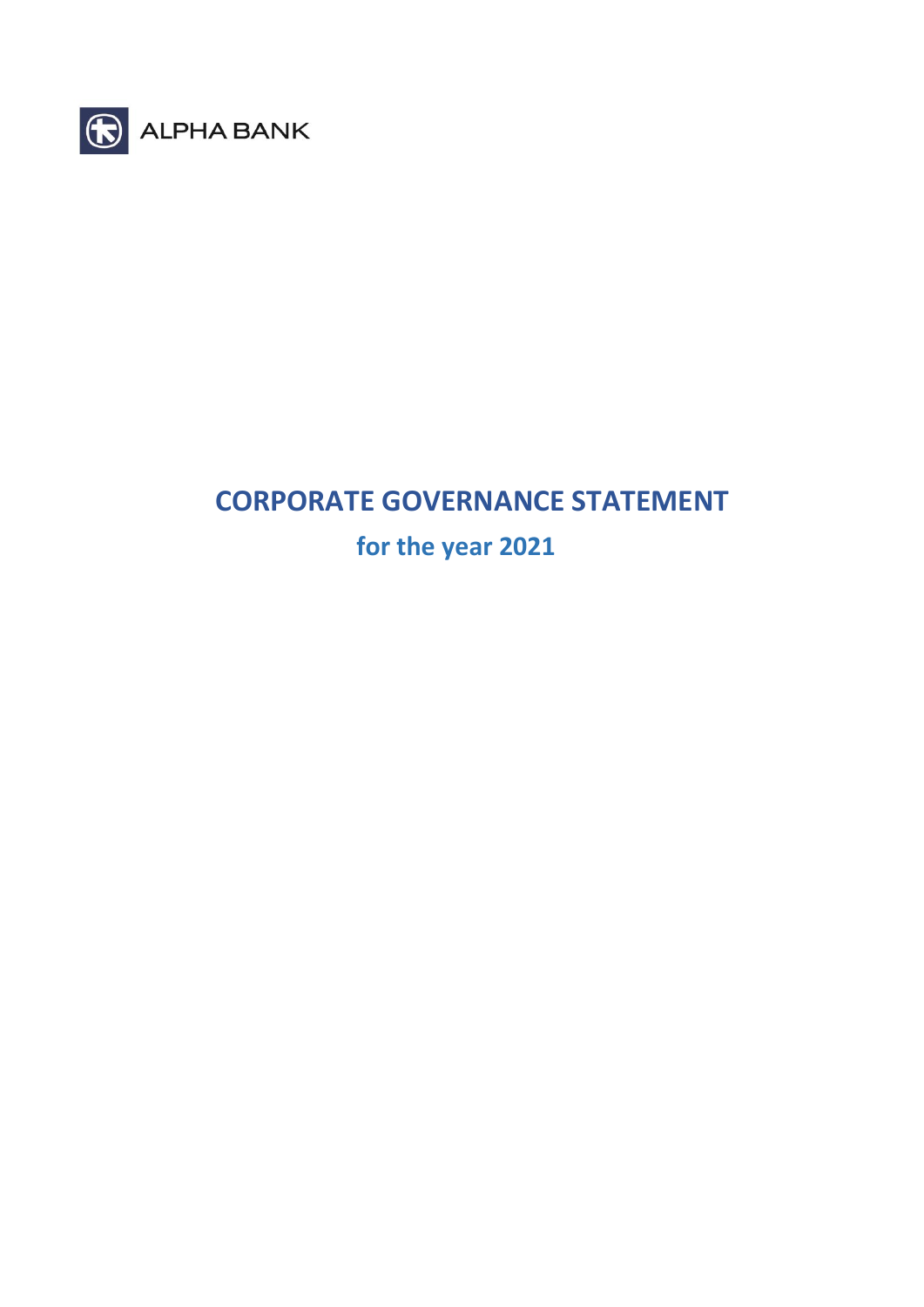

# **CORPORATE GOVERNANCE STATEMENT**

 **for the year 2021**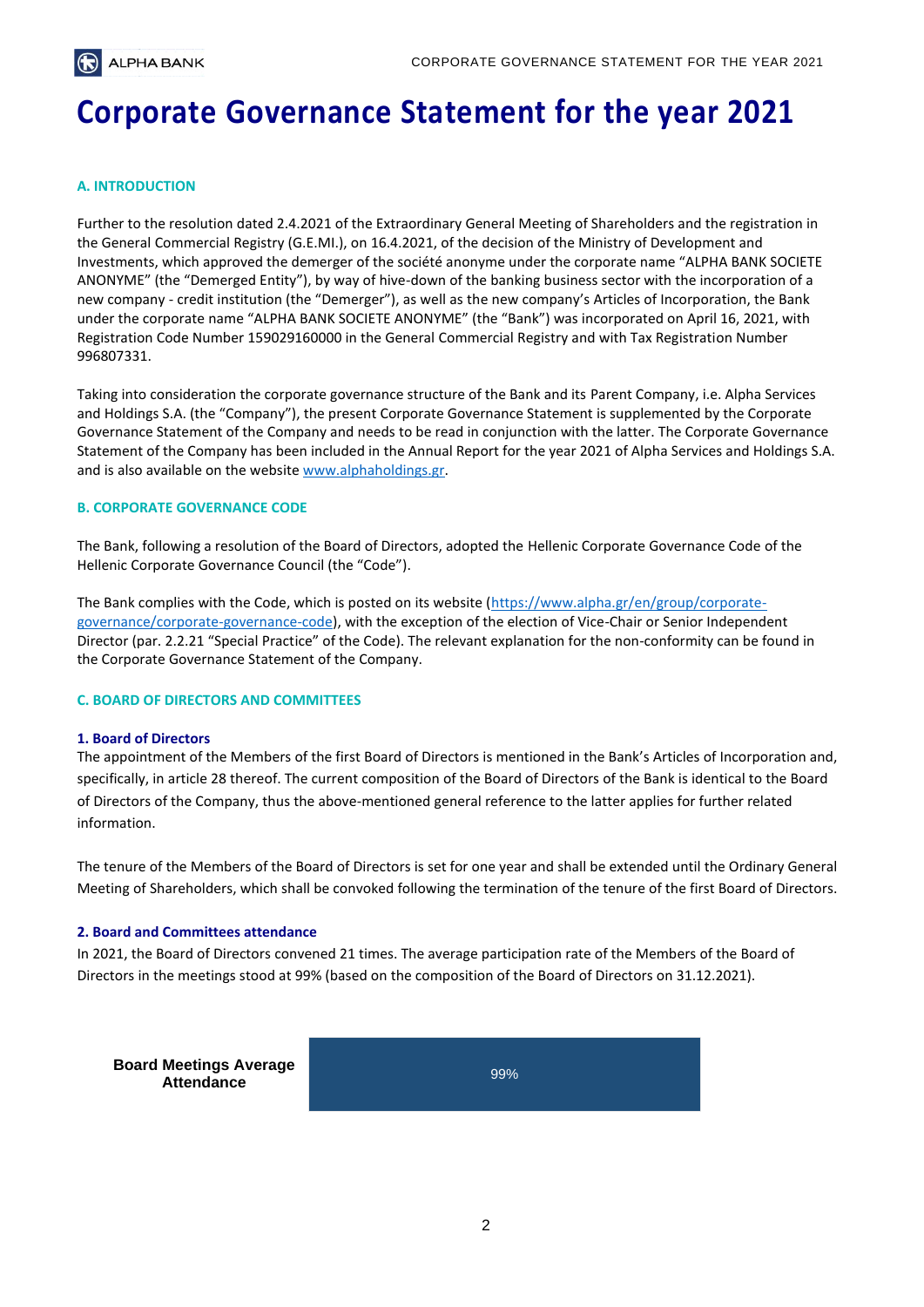# **Corporate Governance Statement for the year 2021**

# **A. INTRODUCTION**

Further to the resolution dated 2.4.2021 of the Extraordinary General Meeting of Shareholders and the registration in the General Commercial Registry (G.E.MI.), on 16.4.2021, of the decision of the Ministry of Development and Investments, which approved the demerger of the société anonyme under the corporate name "ALPHA BANK SOCIETE ANONYME" (the "Demerged Entity"), by way of hive-down of the banking business sector with the incorporation of a new company - credit institution (the "Demerger"), as well as the new company's Articles of Incorporation, the Bank under the corporate name "ALPHA BANK SOCIETE ANONYME" (the "Bank") was incorporated on April 16, 2021, with Registration Code Number 159029160000 in the General Commercial Registry and with Tax Registration Number 996807331.

Taking into consideration the corporate governance structure of the Bank and its Parent Company, i.e. Alpha Services and Holdings S.A. (the "Company"), the present Corporate Governance Statement is supplemented by the Corporate Governance Statement of the Company and needs to be read in conjunction with the latter. The Corporate Governance Statement of the Company has been included in the Annual Report for the year 2021 of Alpha Services and Holdings S.A. and is also available on the websit[e www.alphaholdings.gr.](http://www.alphaholdings.gr/)

#### **B. CORPORATE GOVERNANCE CODE**

The Bank, following a resolution of the Board of Directors, adopted the Hellenic Corporate Governance Code of the Hellenic Corporate Governance Council (the "Code").

The Bank complies with the Code, which is posted on its website [\(https://www.alpha.gr/en/group/corporate](https://www.alpha.gr/en/group/corporate-governance/corporate-governance-code)[governance/corporate-governance-code\)](https://www.alpha.gr/en/group/corporate-governance/corporate-governance-code), with the exception of the election of Vice-Chair or Senior Independent Director (par. 2.2.21 "Special Practice" of the Code). The relevant explanation for the non-conformity can be found in the Corporate Governance Statement of the Company.

#### **C. BOARD OF DIRECTORS AND COMMITTEES**

#### **1. Board of Directors**

The appointment of the Members of the first Board of Directors is mentioned in the Bank's Articles of Incorporation and, specifically, in article 28 thereof. The current composition of the Board of Directors of the Bank is identical to the Board of Directors of the Company, thus the above-mentioned general reference to the latter applies for further related information.

The tenure of the Members of the Board of Directors is set for one year and shall be extended until the Ordinary General Meeting of Shareholders, which shall be convoked following the termination of the tenure of the first Board of Directors.

#### **2. Board and Committees attendance**

In 2021, the Board of Directors convened 21 times. The average participation rate of the Members of the Board of Directors in the meetings stood at 99% (based on the composition of the Board of Directors on 31.12.2021).

**Board Meetings Average**<br> **Board Meetings Average Attendance**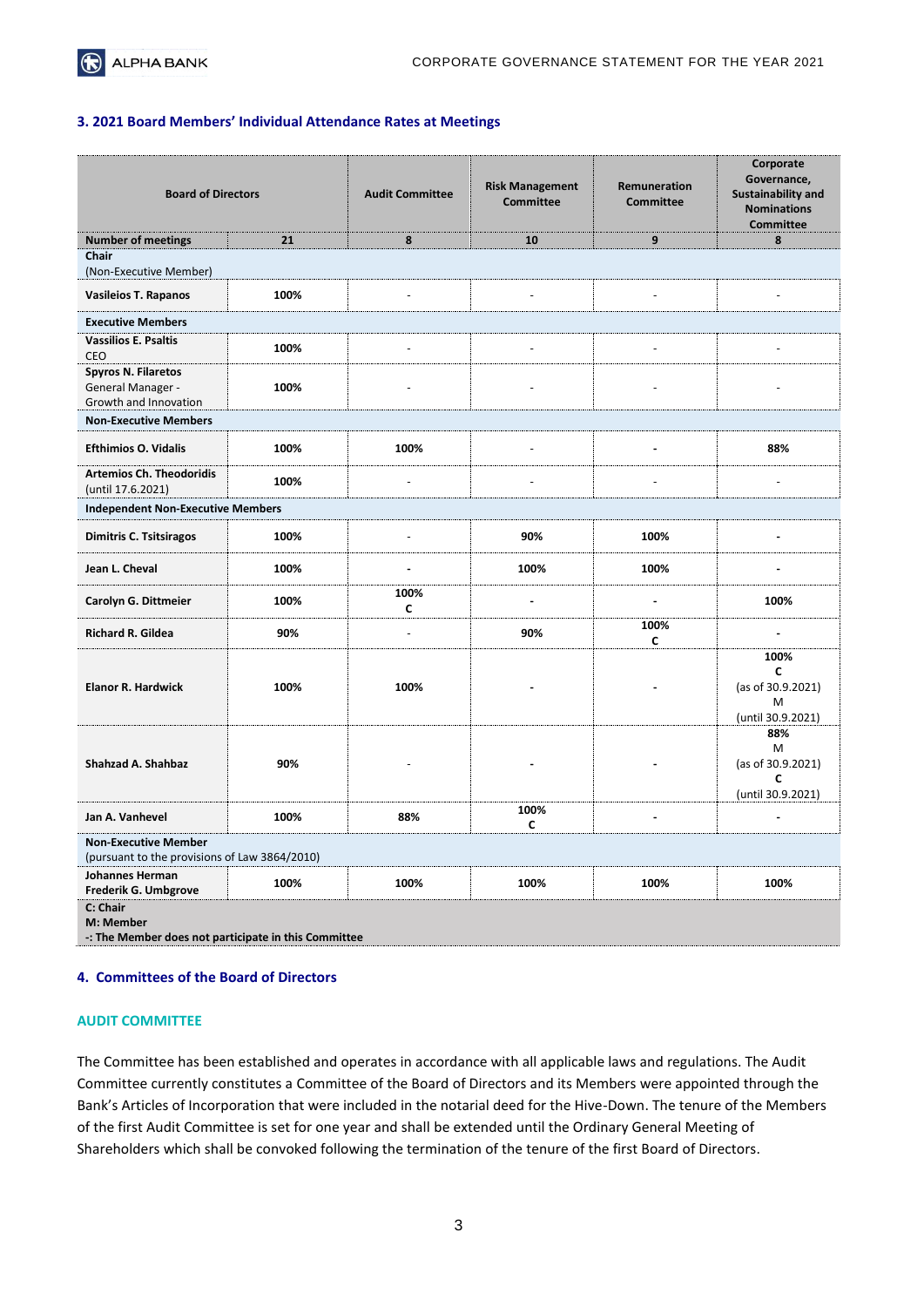#### **3. 2021 Board Members' Individual Attendance Rates at Meetings**

| <b>Board of Directors</b>                                                    |      | <b>Audit Committee</b>   | <b>Risk Management</b><br><b>Committee</b> | Remuneration<br><b>Committee</b> | Corporate<br>Governance,<br><b>Sustainability and</b><br><b>Nominations</b><br><b>Committee</b> |
|------------------------------------------------------------------------------|------|--------------------------|--------------------------------------------|----------------------------------|-------------------------------------------------------------------------------------------------|
| <b>Number of meetings</b>                                                    | 21   | 8                        | 10                                         | 9                                | 8                                                                                               |
| Chair<br>(Non-Executive Member)                                              |      |                          |                                            |                                  |                                                                                                 |
| <b>Vasileios T. Rapanos</b>                                                  | 100% |                          |                                            |                                  |                                                                                                 |
| <b>Executive Members</b>                                                     |      |                          |                                            |                                  |                                                                                                 |
| <b>Vassilios E. Psaltis</b><br><b>CEO</b>                                    | 100% | $\overline{\phantom{a}}$ | $\overline{\phantom{a}}$                   | $\overline{a}$                   | $\overline{a}$                                                                                  |
| <b>Spyros N. Filaretos</b><br>General Manager -<br>Growth and Innovation     | 100% |                          |                                            |                                  |                                                                                                 |
| <b>Non-Executive Members</b>                                                 |      |                          |                                            |                                  |                                                                                                 |
| <b>Efthimios O. Vidalis</b>                                                  | 100% | 100%                     |                                            | $\blacksquare$                   | 88%                                                                                             |
| <b>Artemios Ch. Theodoridis</b><br>(until 17.6.2021)                         | 100% |                          |                                            |                                  |                                                                                                 |
| <b>Independent Non-Executive Members</b>                                     |      |                          |                                            |                                  |                                                                                                 |
| <b>Dimitris C. Tsitsiragos</b>                                               | 100% | ÷,                       | 90%                                        | 100%                             | -                                                                                               |
| Jean L. Cheval                                                               | 100% | $\blacksquare$           | 100%                                       | 100%                             | $\blacksquare$                                                                                  |
| Carolyn G. Dittmeier                                                         | 100% | 100%<br>C                | $\blacksquare$                             | $\blacksquare$                   | 100%                                                                                            |
| Richard R. Gildea                                                            | 90%  | $\overline{\phantom{a}}$ | 90%                                        | 100%<br>C                        | $\overline{a}$                                                                                  |
| <b>Elanor R. Hardwick</b>                                                    | 100% | 100%                     |                                            |                                  | 100%<br>C<br>(as of 30.9.2021)<br>М<br>(until 30.9.2021)                                        |
| Shahzad A. Shahbaz                                                           | 90%  |                          |                                            |                                  | 88%<br>M<br>(as of 30.9.2021)<br>C<br>(until 30.9.2021)                                         |
| Jan A. Vanhevel                                                              | 100% | 88%                      | 100%<br>C                                  |                                  |                                                                                                 |
| <b>Non-Executive Member</b><br>(pursuant to the provisions of Law 3864/2010) |      |                          |                                            |                                  |                                                                                                 |
| <b>Johannes Herman</b><br>Frederik G. Umbgrove                               | 100% | 100%                     | 100%                                       | 100%                             | 100%                                                                                            |
| C: Chair<br>M: Member<br>: The Member does not participate in this Committee |      |                          |                                            |                                  |                                                                                                 |

#### **4. Committees of the Board of Directors**

#### **AUDIT COMMITTEE**

The Committee has been established and operates in accordance with all applicable laws and regulations. The Audit Committee currently constitutes a Committee of the Board of Directors and its Members were appointed through the Bank's Articles of Incorporation that were included in the notarial deed for the Hive-Down. The tenure of the Members of the first Audit Committee is set for one year and shall be extended until the Ordinary General Meeting of Shareholders which shall be convoked following the termination of the tenure of the first Board of Directors.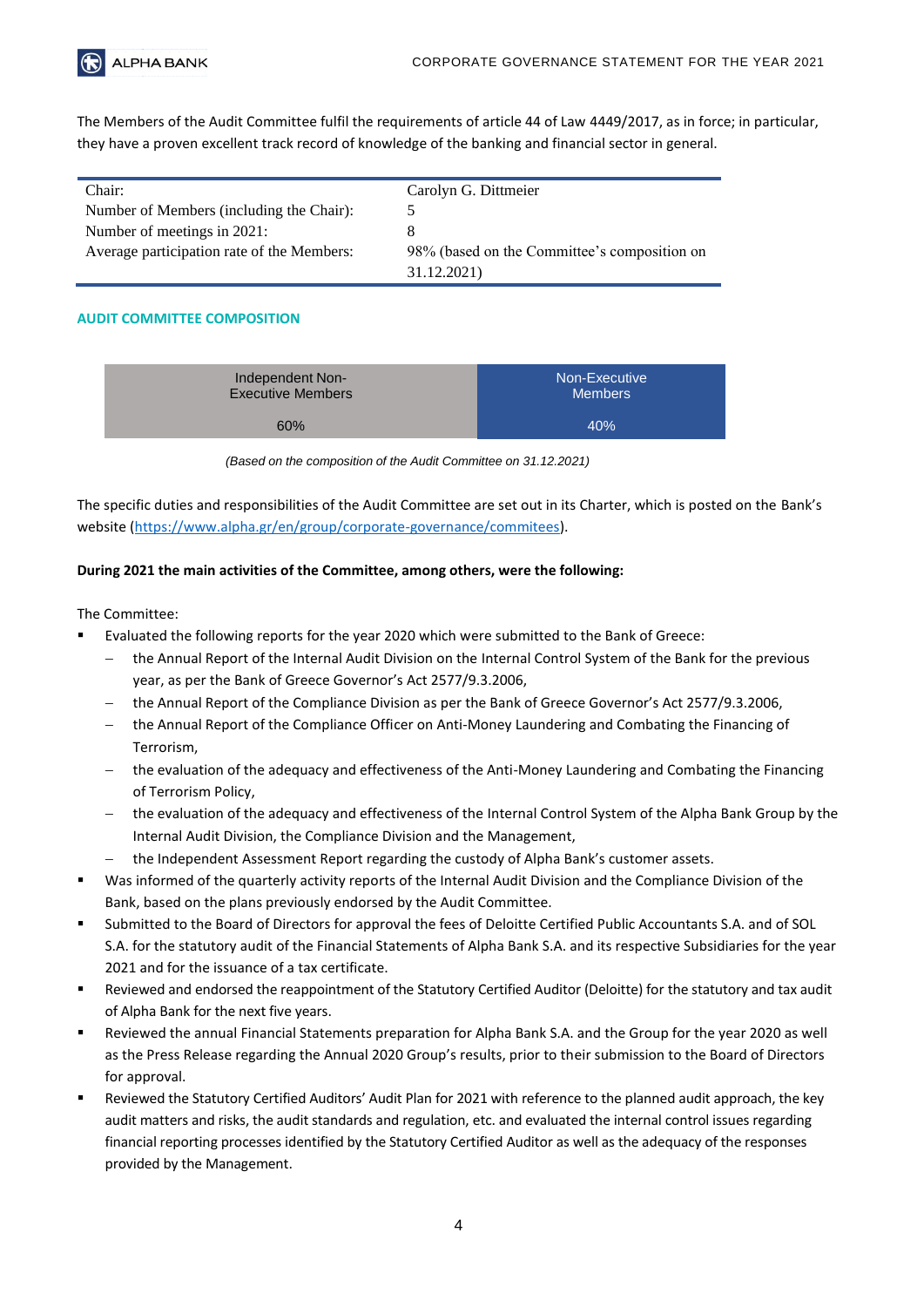

The Members of the Audit Committee fulfil the requirements of article 44 of Law 4449/2017, as in force; in particular, they have a proven excellent track record of knowledge of the banking and financial sector in general.

| Chair:                                     | Carolyn G. Dittmeier                         |
|--------------------------------------------|----------------------------------------------|
| Number of Members (including the Chair):   |                                              |
| Number of meetings in 2021:                |                                              |
| Average participation rate of the Members: | 98% (based on the Committee's composition on |
|                                            | 31.12.2021)                                  |

# **AUDIT COMMITTEE COMPOSITION**

| Independent Non-         | Non-Executive  |
|--------------------------|----------------|
| <b>Executive Members</b> | <b>Members</b> |
| 60%                      | 40%            |

*(Based on the composition of the Audit Committee on 31.12.2021)*

The specific duties and responsibilities of the Audit Committee are set out in its Charter, which is posted on the Bank's website [\(https://www.alpha.gr/en/group/corporate-governance/commitees\)](https://www.alpha.gr/en/group/corporate-governance/commitees).

# **During 2021 the main activities of the Committee, among others, were the following:**

- Evaluated the following reports for the year 2020 which were submitted to the Bank of Greece:
	- − the Annual Report of the Internal Audit Division on the Internal Control System of the Bank for the previous year, as per the Bank of Greece Governor's Act 2577/9.3.2006,
	- − the Annual Report of the Compliance Division as per the Bank of Greece Governor's Act 2577/9.3.2006,
	- the Annual Report of the Compliance Officer on Anti-Money Laundering and Combating the Financing of Terrorism,
	- − the evaluation of the adequacy and effectiveness of the Anti-Money Laundering and Combating the Financing of Terrorism Policy,
	- − the evaluation of the adequacy and effectiveness of the Internal Control System of the Alpha Bank Group by the Internal Audit Division, the Compliance Division and the Management,
	- − the Independent Assessment Report regarding the custody of Alpha Bank's customer assets.
- Was informed of the quarterly activity reports of the Internal Audit Division and the Compliance Division of the Bank, based on the plans previously endorsed by the Audit Committee.
- Submitted to the Board of Directors for approval the fees of Deloitte Certified Public Accountants S.A. and of SOL S.A. for the statutory audit of the Financial Statements of Alpha Bank S.A. and its respective Subsidiaries for the year 2021 and for the issuance of a tax certificate.
- Reviewed and endorsed the reappointment of the Statutory Certified Auditor (Deloitte) for the statutory and tax audit of Alpha Bank for the next five years.
- Reviewed the annual Financial Statements preparation for Alpha Bank S.A. and the Group for the year 2020 as well as the Press Release regarding the Annual 2020 Group's results, prior to their submission to the Board of Directors for approval.
- Reviewed the Statutory Certified Auditors' Audit Plan for 2021 with reference to the planned audit approach, the key audit matters and risks, the audit standards and regulation, etc. and evaluated the internal control issues regarding financial reporting processes identified by the Statutory Certified Auditor as well as the adequacy of the responses provided by the Management.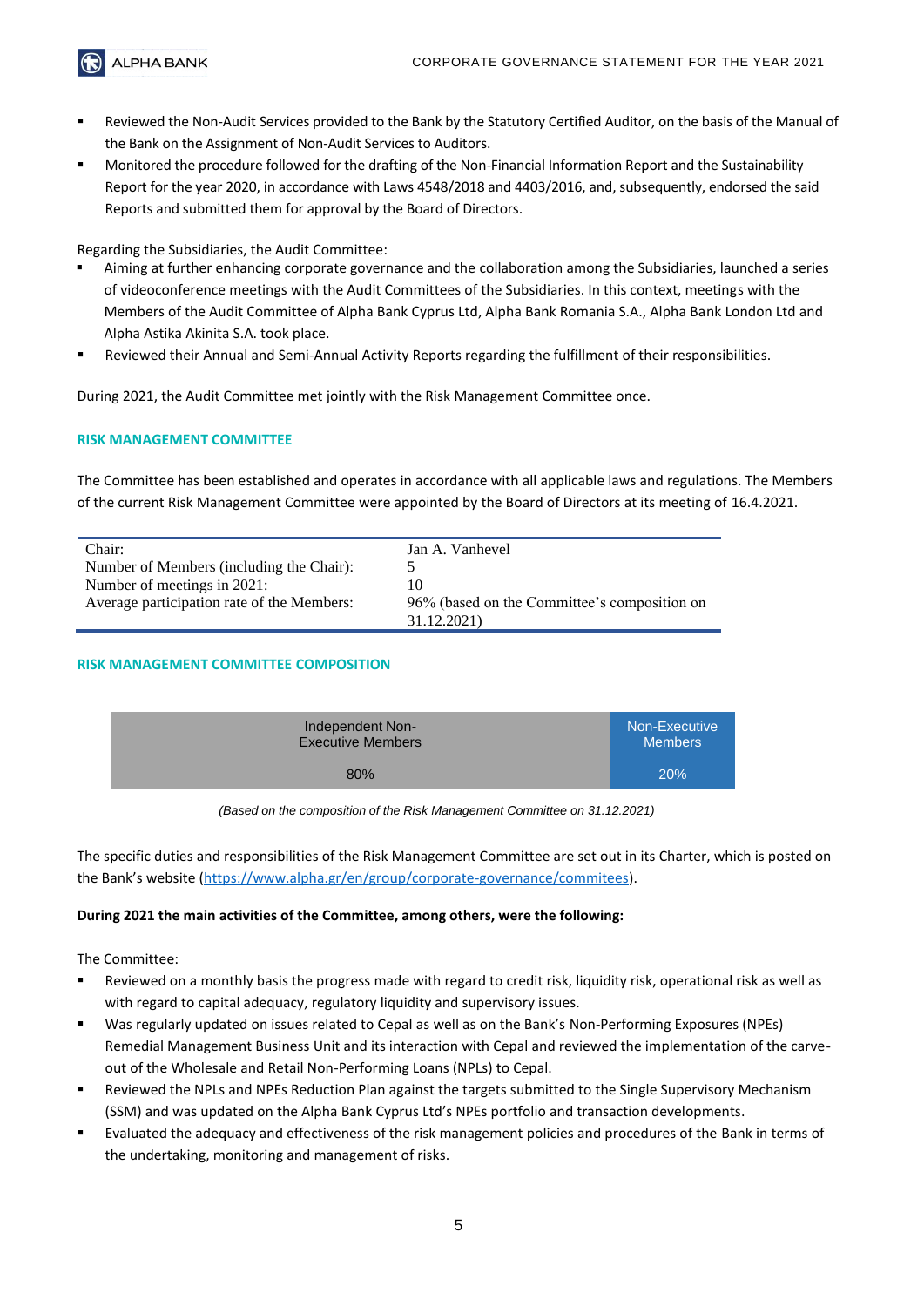

- Reviewed the Non-Audit Services provided to the Bank by the Statutory Certified Auditor, on the basis of the Manual of the Bank on the Assignment of Non-Audit Services to Auditors.
- Monitored the procedure followed for the drafting of the Non-Financial Information Report and the Sustainability Report for the year 2020, in accordance with Laws 4548/2018 and 4403/2016, and, subsequently, endorsed the said Reports and submitted them for approval by the Board of Directors.

# Regarding the Subsidiaries, the Audit Committee:

- Aiming at further enhancing corporate governance and the collaboration among the Subsidiaries, launched a series of videoconference meetings with the Audit Committees of the Subsidiaries. In this context, meetings with the Members of the Audit Committee of Alpha Bank Cyprus Ltd, Alpha Bank Romania S.A., Alpha Bank London Ltd and Alpha Astika Akinita S.A. took place.
- Reviewed their Annual and Semi-Annual Activity Reports regarding the fulfillment of their responsibilities.

During 2021, the Audit Committee met jointly with the Risk Management Committee once.

# **RISK MANAGEMENT COMMITTEE**

The Committee has been established and operates in accordance with all applicable laws and regulations. The Members of the current Risk Management Committee were appointed by the Board of Directors at its meeting of 16.4.2021.

| Chair:                                     | Jan A. Vanhevel                              |
|--------------------------------------------|----------------------------------------------|
| Number of Members (including the Chair):   |                                              |
| Number of meetings in 2021:                |                                              |
| Average participation rate of the Members: | 96% (based on the Committee's composition on |
|                                            | 31.12.2021)                                  |

#### **RISK MANAGEMENT COMMITTEE COMPOSITION**

| Independent Non-         | Non-Executive  |
|--------------------------|----------------|
| <b>Executive Members</b> | <b>Members</b> |
| 80%                      | 20%            |

*(Based on the composition of the Risk Management Committee on 31.12.2021)*

The specific duties and responsibilities of the Risk Management Committee are set out in its Charter, which is posted on the Bank's website ([https://www.alpha.gr/en/group/corporate-governance/commitees\)](https://www.alpha.gr/en/group/corporate-governance/commitees).

#### **During 2021 the main activities of the Committee, among others, were the following:**

- Reviewed on a monthly basis the progress made with regard to credit risk, liquidity risk, operational risk as well as with regard to capital adequacy, regulatory liquidity and supervisory issues.
- Was regularly updated on issues related to Cepal as well as on the Bank's Non-Performing Exposures (NPEs) Remedial Management Business Unit and its interaction with Cepal and reviewed the implementation of the carveout of the Wholesale and Retail Non-Performing Loans (NPLs) to Cepal.
- Reviewed the NPLs and NPEs Reduction Plan against the targets submitted to the Single Supervisory Mechanism (SSM) and was updated on the Alpha Bank Cyprus Ltd's NPEs portfolio and transaction developments.
- Evaluated the adequacy and effectiveness of the risk management policies and procedures of the Bank in terms of the undertaking, monitoring and management of risks.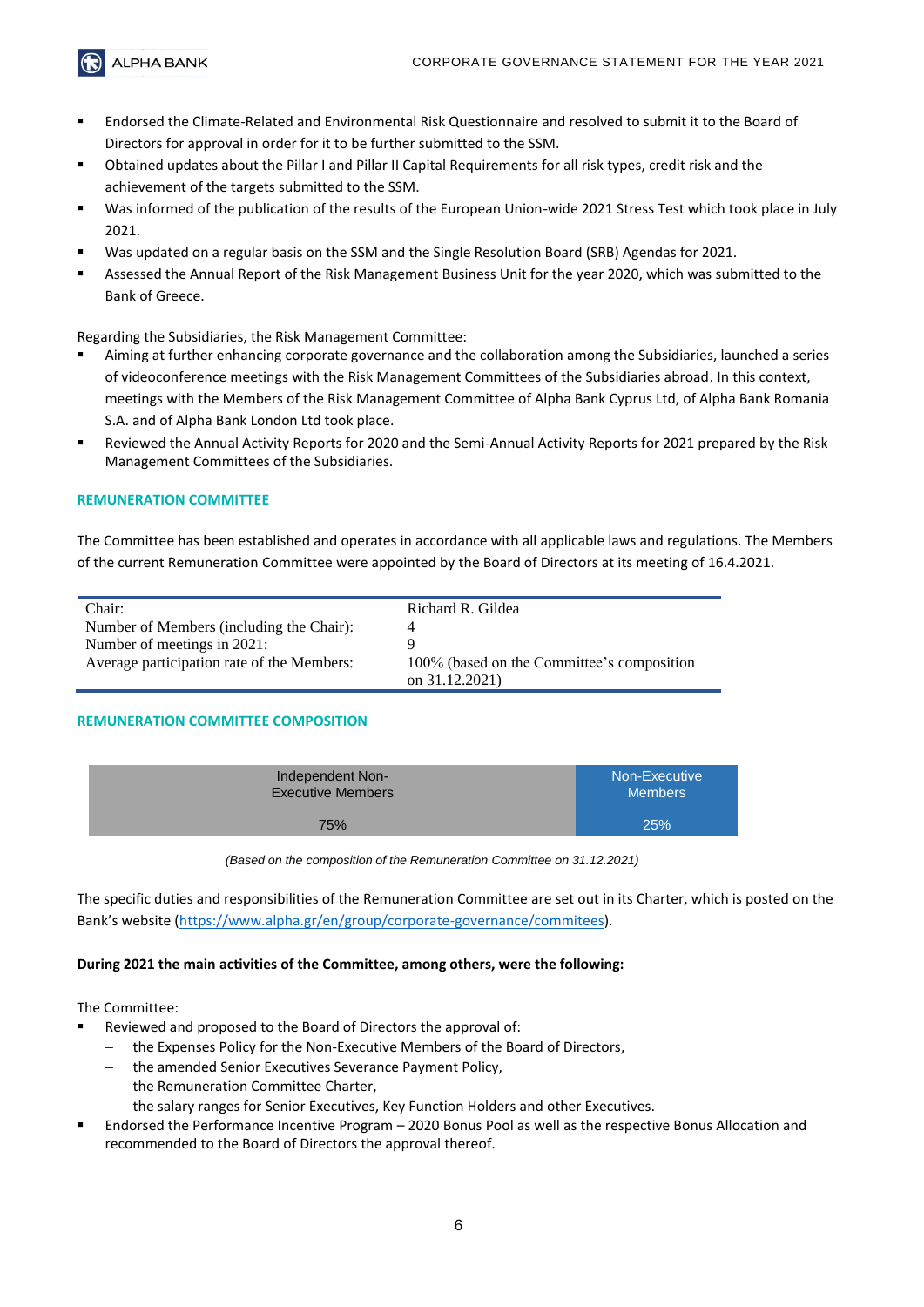**ALPHA BANK** 

- Endorsed the Climate-Related and Environmental Risk Questionnaire and resolved to submit it to the Board of Directors for approval in order for it to be further submitted to the SSM.
- Obtained updates about the Pillar I and Pillar II Capital Requirements for all risk types, credit risk and the achievement of the targets submitted to the SSM.
- Was informed of the publication of the results of the European Union-wide 2021 Stress Test which took place in July 2021.
- Was updated on a regular basis on the SSM and the Single Resolution Board (SRB) Agendas for 2021.
- Assessed the Annual Report of the Risk Management Business Unit for the year 2020, which was submitted to the Bank of Greece.

Regarding the Subsidiaries, the Risk Management Committee:

- Aiming at further enhancing corporate governance and the collaboration among the Subsidiaries, launched a series of videoconference meetings with the Risk Management Committees of the Subsidiaries abroad. In this context, meetings with the Members of the Risk Management Committee of Alpha Bank Cyprus Ltd, of Alpha Bank Romania S.A. and of Alpha Bank London Ltd took place.
- Reviewed the Annual Activity Reports for 2020 and the Semi-Annual Activity Reports for 2021 prepared by the Risk Management Committees of the Subsidiaries.

#### **REMUNERATION COMMITTEE**

The Committee has been established and operates in accordance with all applicable laws and regulations. The Members of the current Remuneration Committee were appointed by the Board of Directors at its meeting of 16.4.2021.

| Chair:                                     | Richard R. Gildea                                            |
|--------------------------------------------|--------------------------------------------------------------|
| Number of Members (including the Chair):   |                                                              |
| Number of meetings in 2021:                |                                                              |
| Average participation rate of the Members: | 100% (based on the Committee's composition<br>on 31.12.2021) |

#### **REMUNERATION COMMITTEE COMPOSITION**

| Independent Non-         | Non-Executive  |
|--------------------------|----------------|
| <b>Executive Members</b> | <b>Members</b> |
| 75%                      | 25%            |

*(Based on the composition of the Remuneration Committee on 31.12.2021)*

The specific duties and responsibilities of the Remuneration Committee are set out in its Charter, which is posted on the Bank's website ([https://www.alpha.gr/en/group/corporate-governance/commitees\)](https://www.alpha.gr/en/group/corporate-governance/commitees).

#### **During 2021 the main activities of the Committee, among others, were the following:**

- Reviewed and proposed to the Board of Directors the approval of:
	- the Expenses Policy for the Non-Executive Members of the Board of Directors,
	- the amended Senior Executives Severance Payment Policy,
	- the Remuneration Committee Charter,
	- − the salary ranges for Senior Executives, Key Function Holders and other Executives.
- Endorsed the Performance Incentive Program 2020 Bonus Pool as well as the respective Bonus Allocation and recommended to the Board of Directors the approval thereof.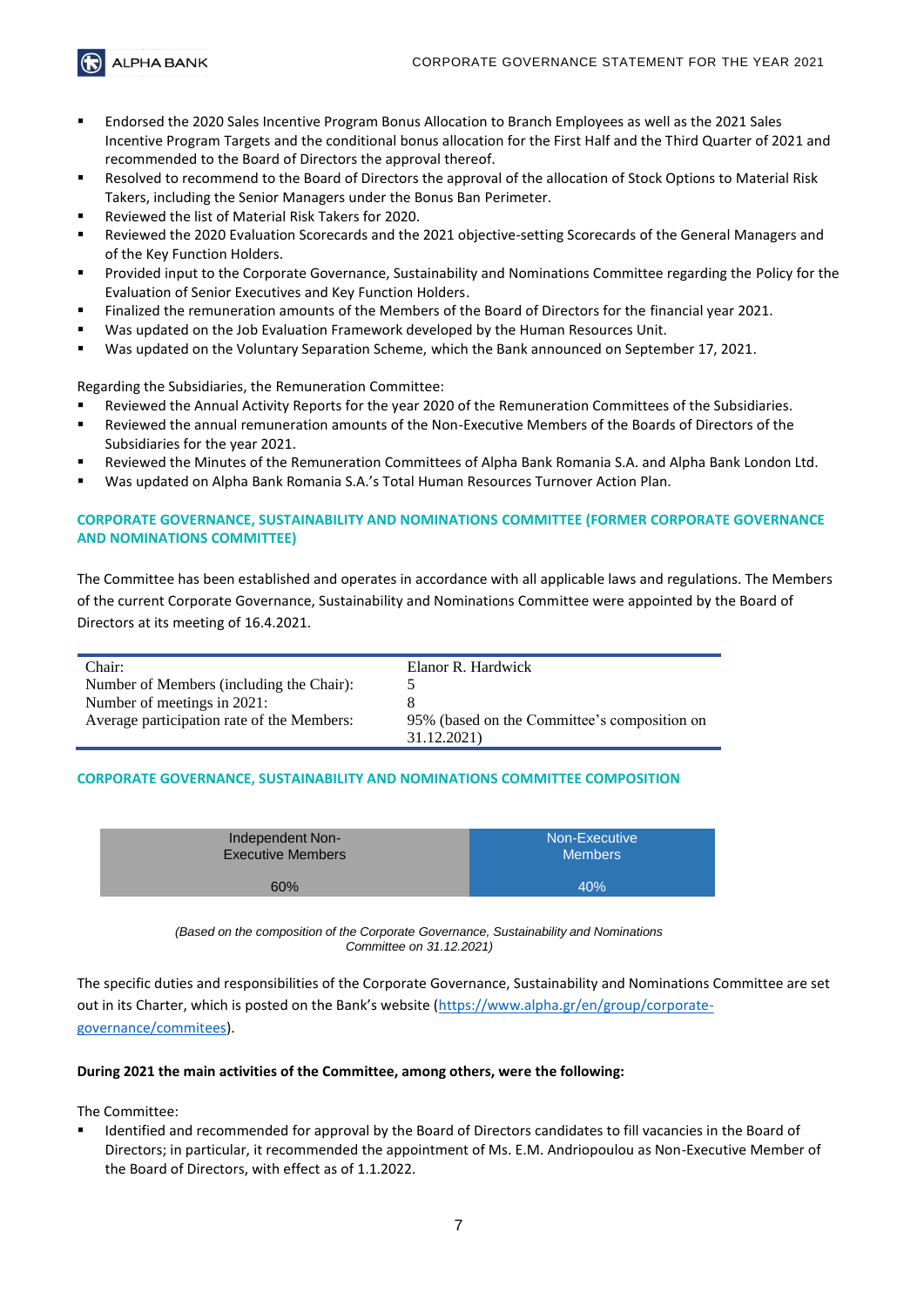**ALPHA BANK** 

- Endorsed the 2020 Sales Incentive Program Bonus Allocation to Branch Employees as well as the 2021 Sales Incentive Program Targets and the conditional bonus allocation for the First Half and the Third Quarter of 2021 and recommended to the Board of Directors the approval thereof.
- Resolved to recommend to the Board of Directors the approval of the allocation of Stock Options to Material Risk Takers, including the Senior Managers under the Bonus Ban Perimeter.
- Reviewed the list of Material Risk Takers for 2020.
- Reviewed the 2020 Evaluation Scorecards and the 2021 objective-setting Scorecards of the General Managers and of the Key Function Holders.
- Provided input to the Corporate Governance, Sustainability and Nominations Committee regarding the Policy for the Evaluation of Senior Executives and Key Function Holders.
- Finalized the remuneration amounts of the Members of the Board of Directors for the financial year 2021.
- Was updated on the Job Evaluation Framework developed by the Human Resources Unit.
- Was updated on the Voluntary Separation Scheme, which the Bank announced on September 17, 2021.

Regarding the Subsidiaries, the Remuneration Committee:

- Reviewed the Annual Activity Reports for the year 2020 of the Remuneration Committees of the Subsidiaries.
- Reviewed the annual remuneration amounts of the Non-Executive Members of the Boards of Directors of the Subsidiaries for the year 2021.
- Reviewed the Minutes of the Remuneration Committees of Alpha Bank Romania S.A. and Alpha Bank London Ltd.
- Was updated on Alpha Bank Romania S.A.'s Total Human Resources Turnover Action Plan.

#### **CORPORATE GOVERNANCE, SUSTAINABILITY AND NOMINATIONS COMMITTEE (FORMER CORPORATE GOVERNANCE AND NOMINATIONS COMMITTEE)**

The Committee has been established and operates in accordance with all applicable laws and regulations. The Members of the current Corporate Governance, Sustainability and Nominations Committee were appointed by the Board of Directors at its meeting of 16.4.2021.

| Chair:                                     | Elanor R. Hardwick                           |
|--------------------------------------------|----------------------------------------------|
| Number of Members (including the Chair):   |                                              |
| Number of meetings in 2021:                |                                              |
| Average participation rate of the Members: | 95% (based on the Committee's composition on |
|                                            | 31.12.2021)                                  |

#### **CORPORATE GOVERNANCE, SUSTAINABILITY AND NOMINATIONS COMMITTEE COMPOSITION**

| Independent Non-         | Non-Executive  |
|--------------------------|----------------|
| <b>Executive Members</b> | <b>Members</b> |
| 60%                      | 40%            |

*(Based on the composition of the Corporate Governance, Sustainability and Nominations Committee on 31.12.2021)*

The specific duties and responsibilities of the Corporate Governance, Sustainability and Nominations Committee are set out in its Charter, which is posted on the Bank's website ([https://www.alpha.gr/en/group/corporate](https://www.alpha.gr/en/group/corporate-governance/commitees)[governance/commitees\)](https://www.alpha.gr/en/group/corporate-governance/commitees).

#### **During 2021 the main activities of the Committee, among others, were the following:**

The Committee:

Identified and recommended for approval by the Board of Directors candidates to fill vacancies in the Board of Directors; in particular, it recommended the appointment of Ms. E.M. Andriopoulou as Non-Executive Member of the Board of Directors, with effect as of 1.1.2022.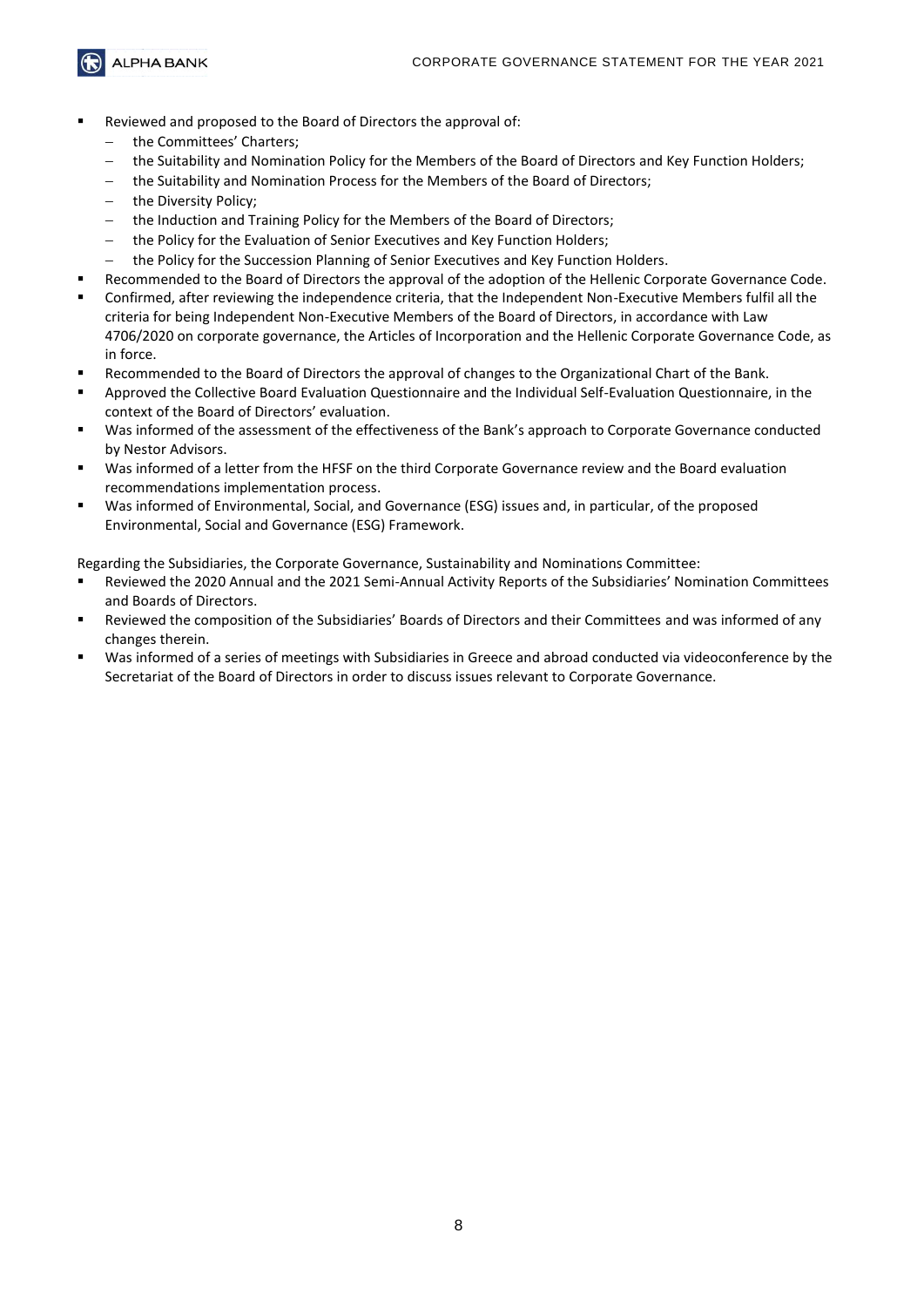**ALPHA BANK** 

- Reviewed and proposed to the Board of Directors the approval of:
	- the Committees' Charters;
	- the Suitability and Nomination Policy for the Members of the Board of Directors and Key Function Holders;
	- the Suitability and Nomination Process for the Members of the Board of Directors;
	- the Diversity Policy;
	- the Induction and Training Policy for the Members of the Board of Directors;
	- the Policy for the Evaluation of Senior Executives and Key Function Holders;
	- the Policy for the Succession Planning of Senior Executives and Key Function Holders.
- Recommended to the Board of Directors the approval of the adoption of the Hellenic Corporate Governance Code.
- Confirmed, after reviewing the independence criteria, that the Independent Non-Executive Members fulfil all the criteria for being Independent Non-Executive Members of the Board of Directors, in accordance with Law 4706/2020 on corporate governance, the Articles of Incorporation and the Hellenic Corporate Governance Code, as in force.
- Recommended to the Board of Directors the approval of changes to the Organizational Chart of the Bank.
- Approved the Collective Board Evaluation Questionnaire and the Individual Self-Evaluation Questionnaire, in the context of the Board of Directors' evaluation.
- Was informed of the assessment of the effectiveness of the Bank's approach to Corporate Governance conducted by Nestor Advisors.
- Was informed of a letter from the HFSF on the third Corporate Governance review and the Board evaluation recommendations implementation process.
- Was informed of Environmental, Social, and Governance (ESG) issues and, in particular, of the proposed Environmental, Social and Governance (ESG) Framework.

Regarding the Subsidiaries, the Corporate Governance, Sustainability and Nominations Committee:

- Reviewed the 2020 Annual and the 2021 Semi-Annual Activity Reports of the Subsidiaries' Nomination Committees and Boards of Directors.
- Reviewed the composition of the Subsidiaries' Boards of Directors and their Committees and was informed of any changes therein.
- Was informed of a series of meetings with Subsidiaries in Greece and abroad conducted via videoconference by the Secretariat of the Board of Directors in order to discuss issues relevant to Corporate Governance.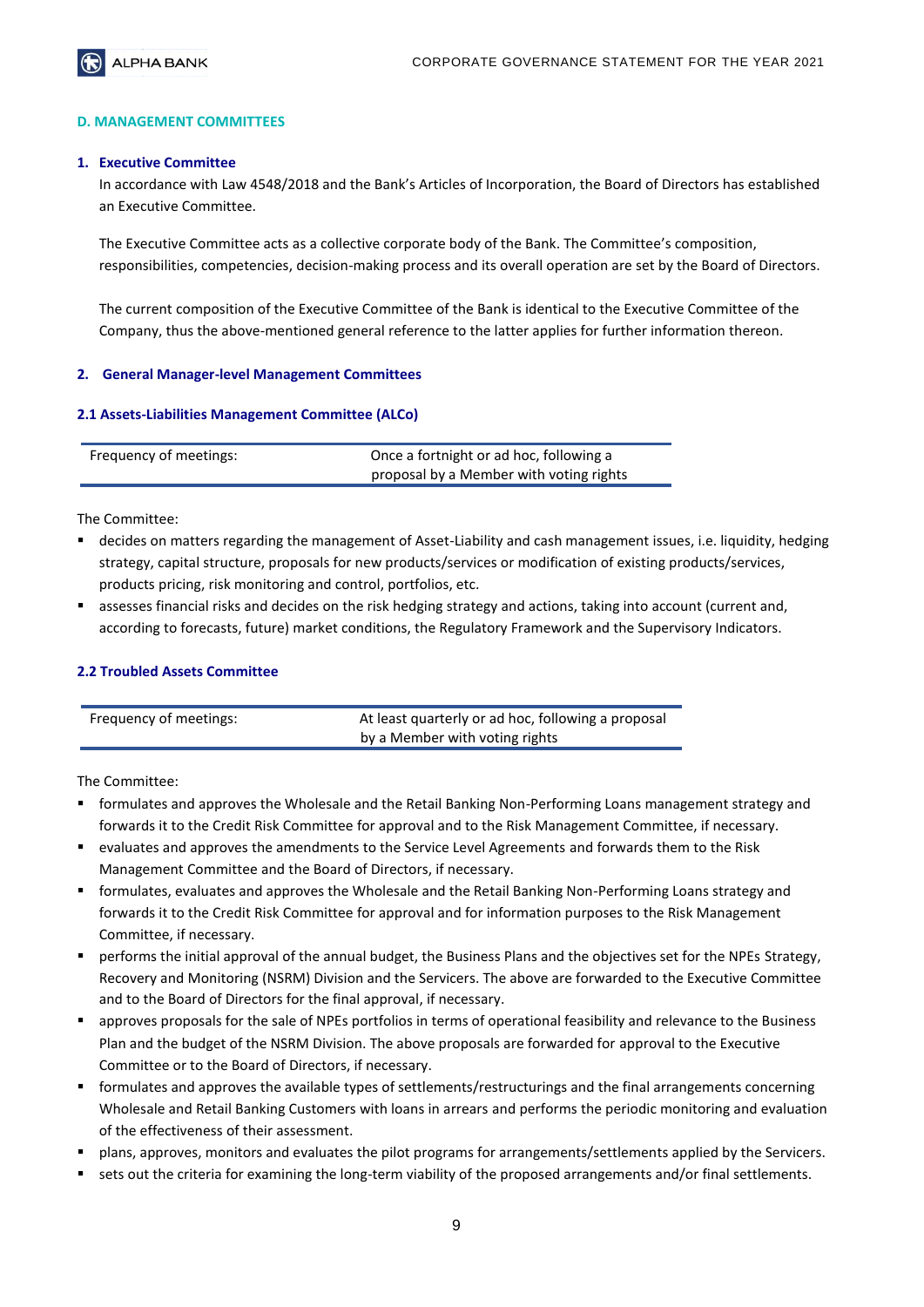

#### **D. MANAGEMENT COMMITTEES**

#### **1. Executive Committee**

In accordance with Law 4548/2018 and the Bank's Articles of Incorporation, the Board of Directors has established an Executive Committee.

The Executive Committee acts as a collective corporate body of the Bank. The Committee's composition, responsibilities, competencies, decision-making process and its overall operation are set by the Board of Directors.

The current composition of the Executive Committee of the Bank is identical to the Executive Committee of the Company, thus the above-mentioned general reference to the latter applies for further information thereon.

#### **2. General Manager-level Management Committees**

#### **2.1 Assets-Liabilities Management Committee (ALCo)**

| Frequency of meetings: | Once a fortnight or ad hoc, following a |
|------------------------|-----------------------------------------|
|                        | proposal by a Member with voting rights |

The Committee:

- decides on matters regarding the management of Asset-Liability and cash management issues, i.e. liquidity, hedging strategy, capital structure, proposals for new products/services or modification of existing products/services, products pricing, risk monitoring and control, portfolios, etc.
- assesses financial risks and decides on the risk hedging strategy and actions, taking into account (current and, according to forecasts, future) market conditions, the Regulatory Framework and the Supervisory Indicators.

#### **2.2 Troubled Assets Committee**

| Frequency of meetings: | At least quarterly or ad hoc, following a proposal |
|------------------------|----------------------------------------------------|
|                        | by a Member with voting rights                     |

- formulates and approves the Wholesale and the Retail Banking Non-Performing Loans management strategy and forwards it to the Credit Risk Committee for approval and to the Risk Management Committee, if necessary.
- evaluates and approves the amendments to the Service Level Agreements and forwards them to the Risk Management Committee and the Board of Directors, if necessary.
- formulates, evaluates and approves the Wholesale and the Retail Banking Non-Performing Loans strategy and forwards it to the Credit Risk Committee for approval and for information purposes to the Risk Management Committee, if necessary.
- performs the initial approval of the annual budget, the Business Plans and the objectives set for the NPEs Strategy, Recovery and Monitoring (NSRM) Division and the Servicers. The above are forwarded to the Executive Committee and to the Board of Directors for the final approval, if necessary.
- approves proposals for the sale of NPEs portfolios in terms of operational feasibility and relevance to the Business Plan and the budget of the NSRM Division. The above proposals are forwarded for approval to the Executive Committee or to the Board of Directors, if necessary.
- formulates and approves the available types of settlements/restructurings and the final arrangements concerning Wholesale and Retail Banking Customers with loans in arrears and performs the periodic monitoring and evaluation of the effectiveness of their assessment.
- plans, approves, monitors and evaluates the pilot programs for arrangements/settlements applied by the Servicers.
- sets out the criteria for examining the long-term viability of the proposed arrangements and/or final settlements.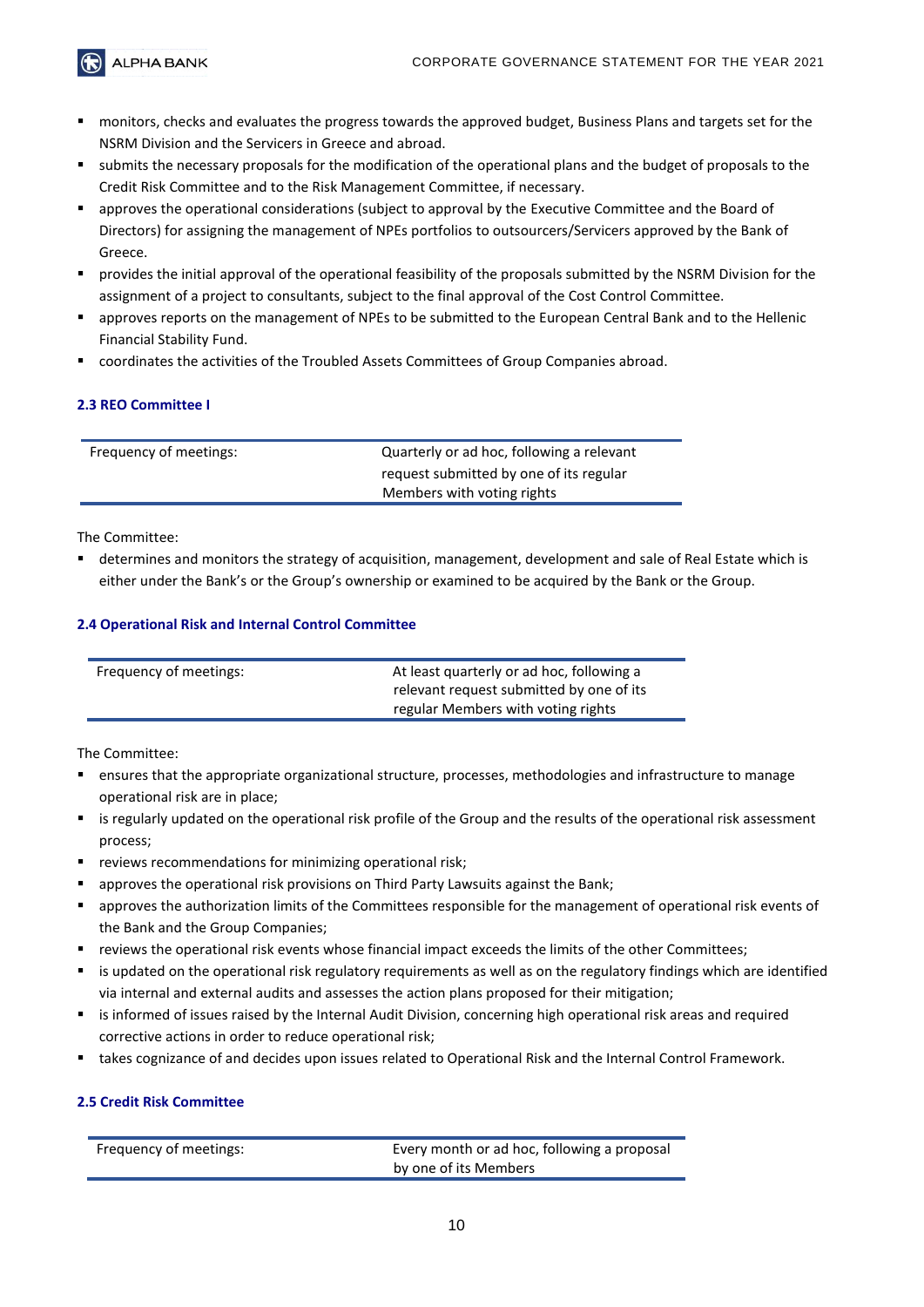$\bigodot$  ALPHA BANK

- monitors, checks and evaluates the progress towards the approved budget, Business Plans and targets set for the NSRM Division and the Servicers in Greece and abroad.
- submits the necessary proposals for the modification of the operational plans and the budget of proposals to the Credit Risk Committee and to the Risk Management Committee, if necessary.
- approves the operational considerations (subject to approval by the Executive Committee and the Board of Directors) for assigning the management of NPEs portfolios to outsourcers/Servicers approved by the Bank of Greece.
- provides the initial approval of the operational feasibility of the proposals submitted by the NSRM Division for the assignment of a project to consultants, subject to the final approval of the Cost Control Committee.
- approves reports on the management of NPEs to be submitted to the European Central Bank and to the Hellenic Financial Stability Fund.
- coordinates the activities of the Troubled Assets Committees of Group Companies abroad.

# **2.3 REO Committee I**

| Frequency of meetings: | Quarterly or ad hoc, following a relevant |
|------------------------|-------------------------------------------|
|                        | request submitted by one of its regular   |
|                        | Members with voting rights                |
|                        |                                           |

The Committee:

■ determines and monitors the strategy of acquisition, management, development and sale of Real Estate which is either under the Bank's or the Group's ownership or examined to be acquired by the Bank or the Group.

# **2.4 Operational Risk and Internal Control Committee**

| Frequency of meetings: | At least quarterly or ad hoc, following a |
|------------------------|-------------------------------------------|
|                        | relevant request submitted by one of its  |
|                        | regular Members with voting rights        |
|                        |                                           |

The Committee:

- ensures that the appropriate organizational structure, processes, methodologies and infrastructure to manage operational risk are in place;
- is regularly updated on the operational risk profile of the Group and the results of the operational risk assessment process;
- reviews recommendations for minimizing operational risk:
- approves the operational risk provisions on Third Party Lawsuits against the Bank;
- approves the authorization limits of the Committees responsible for the management of operational risk events of the Bank and the Group Companies;
- reviews the operational risk events whose financial impact exceeds the limits of the other Committees:
- is updated on the operational risk regulatory requirements as well as on the regulatory findings which are identified via internal and external audits and assesses the action plans proposed for their mitigation;
- is informed of issues raised by the Internal Audit Division, concerning high operational risk areas and required corrective actions in order to reduce operational risk;
- takes cognizance of and decides upon issues related to Operational Risk and the Internal Control Framework.

#### **2.5 Credit Risk Committee**

| Frequency of meetings: | Every month or ad hoc, following a proposal |
|------------------------|---------------------------------------------|
|                        | by one of its Members                       |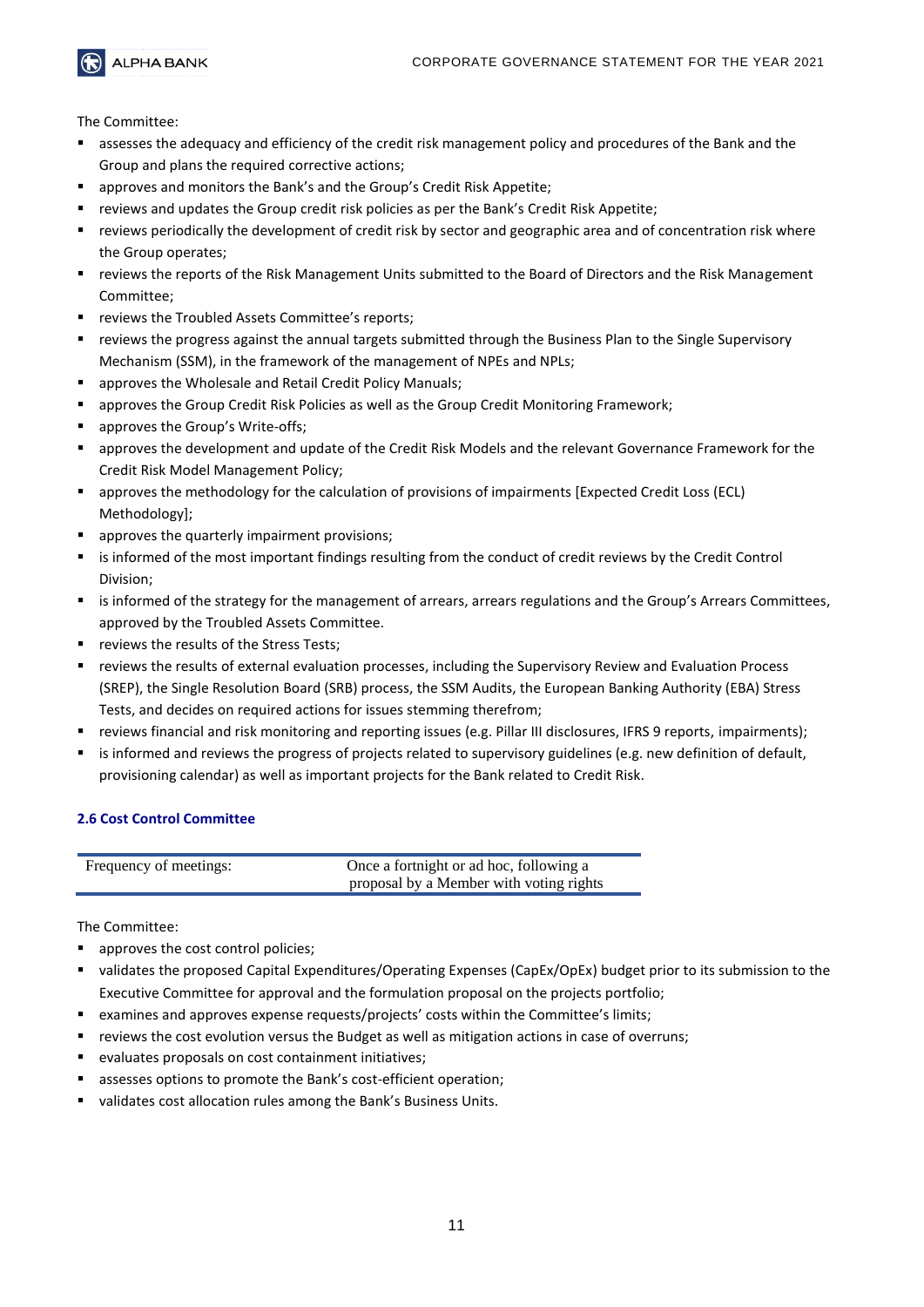

The Committee:

- assesses the adequacy and efficiency of the credit risk management policy and procedures of the Bank and the Group and plans the required corrective actions;
- approves and monitors the Bank's and the Group's Credit Risk Appetite;
- reviews and updates the Group credit risk policies as per the Bank's Credit Risk Appetite;
- reviews periodically the development of credit risk by sector and geographic area and of concentration risk where the Group operates;
- reviews the reports of the Risk Management Units submitted to the Board of Directors and the Risk Management Committee;
- reviews the Troubled Assets Committee's reports:
- reviews the progress against the annual targets submitted through the Business Plan to the Single Supervisory Mechanism (SSM), in the framework of the management of NPEs and NPLs;
- approves the Wholesale and Retail Credit Policy Manuals;
- **■** approves the Group Credit Risk Policies as well as the Group Credit Monitoring Framework;
- approves the Group's Write-offs;
- approves the development and update of the Credit Risk Models and the relevant Governance Framework for the Credit Risk Model Management Policy;
- approves the methodology for the calculation of provisions of impairments [Expected Credit Loss (ECL) Methodology];
- approves the quarterly impairment provisions;
- is informed of the most important findings resulting from the conduct of credit reviews by the Credit Control Division;
- is informed of the strategy for the management of arrears, arrears regulations and the Group's Arrears Committees, approved by the Troubled Assets Committee.
- reviews the results of the Stress Tests:
- reviews the results of external evaluation processes, including the Supervisory Review and Evaluation Process (SREP), the Single Resolution Board (SRB) process, the SSM Audits, the European Banking Authority (EBA) Stress Tests, and decides on required actions for issues stemming therefrom;
- reviews financial and risk monitoring and reporting issues (e.g. Pillar III disclosures, IFRS 9 reports, impairments);
- is informed and reviews the progress of projects related to supervisory guidelines (e.g. new definition of default, provisioning calendar) as well as important projects for the Bank related to Credit Risk.

#### **2.6 Cost Control Committee**

| Frequency of meetings: | Once a fortnight or ad hoc, following a |
|------------------------|-----------------------------------------|
|                        | proposal by a Member with voting rights |

- approves the cost control policies;
- validates the proposed Capital Expenditures/Operating Expenses (CapEx/OpEx) budget prior to its submission to the Executive Committee for approval and the formulation proposal on the projects portfolio;
- examines and approves expense requests/projects' costs within the Committee's limits;
- reviews the cost evolution versus the Budget as well as mitigation actions in case of overruns;
- evaluates proposals on cost containment initiatives;
- assesses options to promote the Bank's cost-efficient operation;
- validates cost allocation rules among the Bank's Business Units.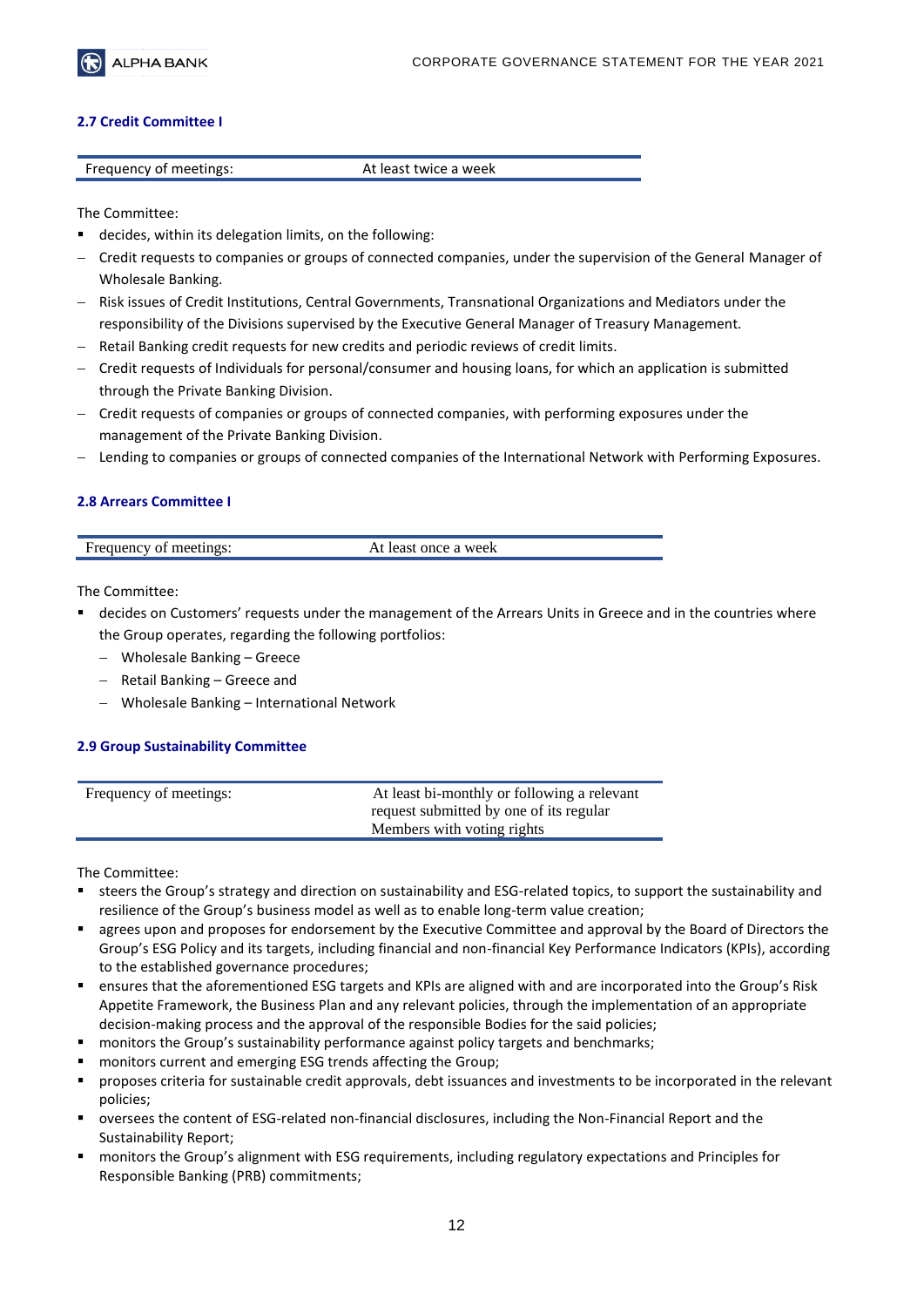

#### **2.7 Credit Committee I**

| Frequency of meetings: | At least twice a week |
|------------------------|-----------------------|
|                        |                       |

The Committee:

- decides, within its delegation limits, on the following:
- − Credit requests to companies or groups of connected companies, under the supervision of the General Manager of Wholesale Banking.
- − Risk issues of Credit Institutions, Central Governments, Transnational Organizations and Mediators under the responsibility of the Divisions supervised by the Executive General Manager of Treasury Management.
- − Retail Banking credit requests for new credits and periodic reviews of credit limits.
- − Credit requests of Individuals for personal/consumer and housing loans, for which an application is submitted through the Private Banking Division.
- − Credit requests of companies or groups of connected companies, with performing exposures under the management of the Private Banking Division.
- − Lending to companies or groups of connected companies of the International Network with Performing Exposures.

# **2.8 Arrears Committee I**

| Frequency of<br>meetings: | least once a week |
|---------------------------|-------------------|
|                           |                   |
|                           |                   |

The Committee:

- decides on Customers' requests under the management of the Arrears Units in Greece and in the countries where the Group operates, regarding the following portfolios:
	- − Wholesale Banking Greece
	- − Retail Banking Greece and
	- − Wholesale Banking International Network

# **2.9 Group Sustainability Committee**

| Frequency of meetings: | At least bi-monthly or following a relevant<br>request submitted by one of its regular |
|------------------------|----------------------------------------------------------------------------------------|
|                        | Members with voting rights                                                             |

- steers the Group's strategy and direction on sustainability and ESG-related topics, to support the sustainability and resilience of the Group's business model as well as to enable long-term value creation;
- agrees upon and proposes for endorsement by the Executive Committee and approval by the Board of Directors the Group's ESG Policy and its targets, including financial and non-financial Key Performance Indicators (KPIs), according to the established governance procedures;
- ensures that the aforementioned ESG targets and KPIs are aligned with and are incorporated into the Group's Risk Appetite Framework, the Business Plan and any relevant policies, through the implementation of an appropriate decision-making process and the approval of the responsible Bodies for the said policies;
- monitors the Group's sustainability performance against policy targets and benchmarks;
- monitors current and emerging ESG trends affecting the Group;
- proposes criteria for sustainable credit approvals, debt issuances and investments to be incorporated in the relevant policies;
- oversees the content of ESG-related non-financial disclosures, including the Non-Financial Report and the Sustainability Report;
- monitors the Group's alignment with ESG requirements, including regulatory expectations and Principles for Responsible Banking (PRB) commitments;